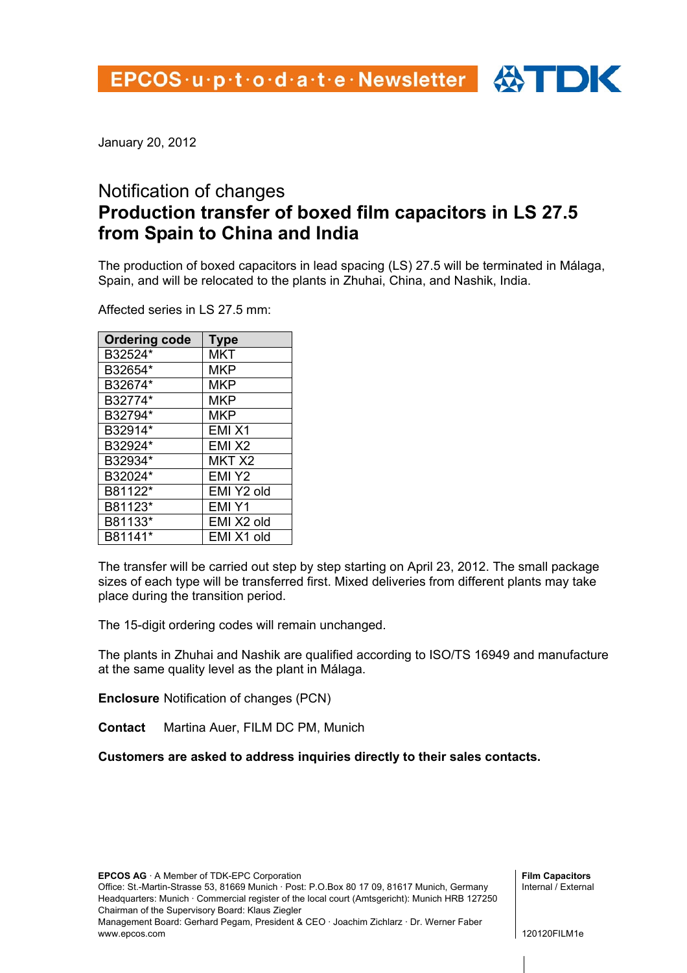January 20, 2012

## Notification of changes **Production transfer of boxed film capacitors in LS 27.5 from Spain to China and India**

The production of boxed capacitors in lead spacing (LS) 27.5 will be terminated in Málaga, Spain, and will be relocated to the plants in Zhuhai, China, and Nashik, India.

Affected series in LS 27.5 mm:

| <b>Ordering code</b> | <b>Type</b>       |
|----------------------|-------------------|
| B32524*              | <b>MKT</b>        |
| B32654*              | <b>MKP</b>        |
| B32674*              | <b>MKP</b>        |
| B32774*              | MKP               |
| B32794*              | MKP               |
| B32914*              | EMIX1             |
| B32924*              | EMIX <sub>2</sub> |
| B32934*              | MKT <sub>X2</sub> |
| B32024*              | EMI Y2            |
| B81122*              | EMI Y2 old        |
| B81123*              | EMI Y1            |
| B81133*              | EMI X2 old        |
| B81141*              | EMI X1 old        |

The transfer will be carried out step by step starting on April 23, 2012. The small package sizes of each type will be transferred first. Mixed deliveries from different plants may take place during the transition period.

The 15-digit ordering codes will remain unchanged.

The plants in Zhuhai and Nashik are qualified according to ISO/TS 16949 and manufacture at the same quality level as the plant in Málaga.

**Enclosure** Notification of changes (PCN)

**Contact** Martina Auer, FILM DC PM, Munich

**Customers are asked to address inquiries directly to their sales contacts.** 

**EPCOS AG** · A Member of TDK-EPC Corporation

Office: St.-Martin-Strasse 53, 81669 Munich · Post: P.O.Box 80 17 09, 81617 Munich, Germany Headquarters: Munich · Commercial register of the local court (Amtsgericht): Munich HRB 127250 Chairman of the Supervisory Board: Klaus Ziegler

Management Board: Gerhard Pegam, President & CEO · Joachim Zichlarz · Dr. Werner Faber www.epcos.com

**Film Capacitors**  Internal / External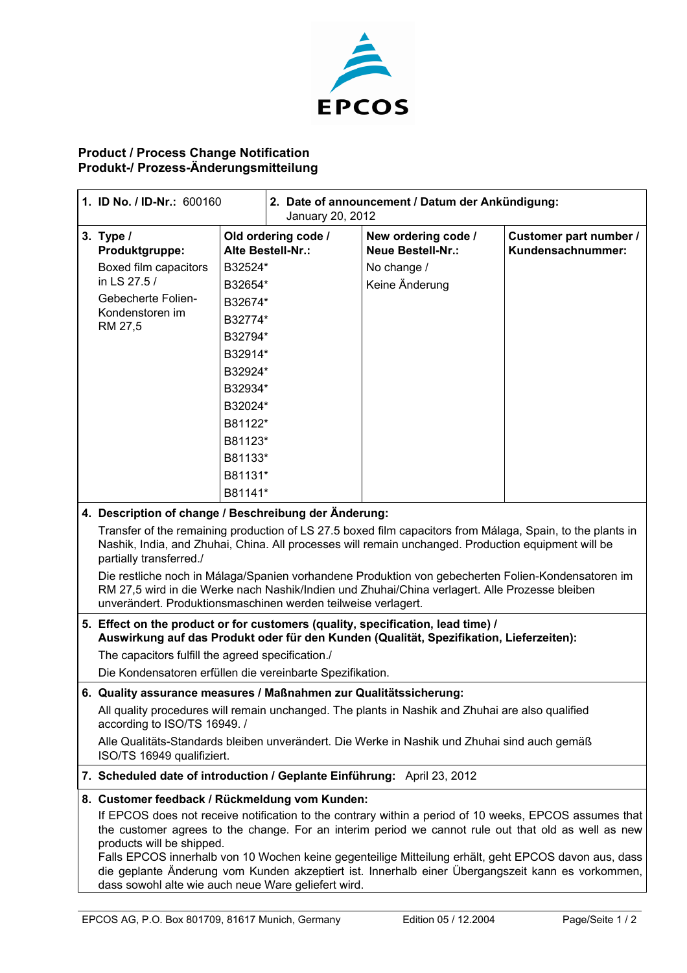

## **Product / Process Change Notification Produkt-/ Prozess-Änderungsmitteilung**

|  | 1. ID No. / ID-Nr.: 600160                                                                                                                                                                                                                                                                   |         | 2. Date of announcement / Datum der Ankündigung:<br>January 20, 2012 |                                                 |                                             |  |
|--|----------------------------------------------------------------------------------------------------------------------------------------------------------------------------------------------------------------------------------------------------------------------------------------------|---------|----------------------------------------------------------------------|-------------------------------------------------|---------------------------------------------|--|
|  | 3. Type $/$<br>Produktgruppe:                                                                                                                                                                                                                                                                |         | Old ordering code /<br>Alte Bestell-Nr.:                             | New ordering code /<br><b>Neue Bestell-Nr.:</b> | Customer part number /<br>Kundensachnummer: |  |
|  | Boxed film capacitors                                                                                                                                                                                                                                                                        | B32524* |                                                                      | No change /                                     |                                             |  |
|  | in LS 27.5 /                                                                                                                                                                                                                                                                                 | B32654* |                                                                      | Keine Änderung                                  |                                             |  |
|  | Gebecherte Folien-<br>B32674*                                                                                                                                                                                                                                                                |         |                                                                      |                                                 |                                             |  |
|  | Kondenstoren im<br>RM 27,5                                                                                                                                                                                                                                                                   | B32774* |                                                                      |                                                 |                                             |  |
|  |                                                                                                                                                                                                                                                                                              | B32794* |                                                                      |                                                 |                                             |  |
|  |                                                                                                                                                                                                                                                                                              | B32914* |                                                                      |                                                 |                                             |  |
|  | B32924*<br>B32934*<br>B32024*                                                                                                                                                                                                                                                                |         |                                                                      |                                                 |                                             |  |
|  |                                                                                                                                                                                                                                                                                              |         |                                                                      |                                                 |                                             |  |
|  |                                                                                                                                                                                                                                                                                              |         |                                                                      |                                                 |                                             |  |
|  |                                                                                                                                                                                                                                                                                              | B81122* |                                                                      |                                                 |                                             |  |
|  |                                                                                                                                                                                                                                                                                              | B81123* |                                                                      |                                                 |                                             |  |
|  |                                                                                                                                                                                                                                                                                              | B81133* |                                                                      |                                                 |                                             |  |
|  |                                                                                                                                                                                                                                                                                              | B81131* |                                                                      |                                                 |                                             |  |
|  |                                                                                                                                                                                                                                                                                              | B81141* |                                                                      |                                                 |                                             |  |
|  | 4. Description of change / Beschreibung der Änderung:                                                                                                                                                                                                                                        |         |                                                                      |                                                 |                                             |  |
|  | Transfer of the remaining production of LS 27.5 boxed film capacitors from Málaga, Spain, to the plants in<br>Nashik, India, and Zhuhai, China. All processes will remain unchanged. Production equipment will be<br>partially transferred./                                                 |         |                                                                      |                                                 |                                             |  |
|  | Die restliche noch in Málaga/Spanien vorhandene Produktion von gebecherten Folien-Kondensatoren im<br>RM 27,5 wird in die Werke nach Nashik/Indien und Zhuhai/China verlagert. Alle Prozesse bleiben<br>unverändert. Produktionsmaschinen werden teilweise verlagert.                        |         |                                                                      |                                                 |                                             |  |
|  | 5. Effect on the product or for customers (quality, specification, lead time) /<br>Auswirkung auf das Produkt oder für den Kunden (Qualität, Spezifikation, Lieferzeiten):                                                                                                                   |         |                                                                      |                                                 |                                             |  |
|  | The capacitors fulfill the agreed specification./                                                                                                                                                                                                                                            |         |                                                                      |                                                 |                                             |  |
|  | Die Kondensatoren erfüllen die vereinbarte Spezifikation.                                                                                                                                                                                                                                    |         |                                                                      |                                                 |                                             |  |
|  | 6. Quality assurance measures / Maßnahmen zur Qualitätssicherung:                                                                                                                                                                                                                            |         |                                                                      |                                                 |                                             |  |
|  | All quality procedures will remain unchanged. The plants in Nashik and Zhuhai are also qualified<br>according to ISO/TS 16949. /                                                                                                                                                             |         |                                                                      |                                                 |                                             |  |
|  | Alle Qualitäts-Standards bleiben unverändert. Die Werke in Nashik und Zhuhai sind auch gemäß<br>ISO/TS 16949 qualifiziert.                                                                                                                                                                   |         |                                                                      |                                                 |                                             |  |
|  | 7. Scheduled date of introduction / Geplante Einführung: April 23, 2012                                                                                                                                                                                                                      |         |                                                                      |                                                 |                                             |  |
|  | 8. Customer feedback / Rückmeldung vom Kunden:<br>If EPCOS does not receive notification to the contrary within a period of 10 weeks, EPCOS assumes that<br>the customer agrees to the change. For an interim period we cannot rule out that old as well as new<br>products will be shipped. |         |                                                                      |                                                 |                                             |  |
|  | Falls EPCOS innerhalb von 10 Wochen keine gegenteilige Mitteilung erhält, geht EPCOS davon aus, dass<br>die geplante Änderung vom Kunden akzeptiert ist. Innerhalb einer Übergangszeit kann es vorkommen,<br>dass sowohl alte wie auch neue Ware geliefert wird.                             |         |                                                                      |                                                 |                                             |  |